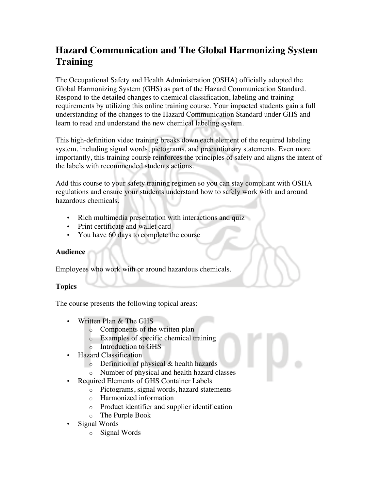## **Hazard Communication and The Global Harmonizing System Training**

The Occupational Safety and Health Administration (OSHA) officially adopted the Global Harmonizing System (GHS) as part of the Hazard Communication Standard. Respond to the detailed changes to chemical classification, labeling and training requirements by utilizing this online training course. Your impacted students gain a full understanding of the changes to the Hazard Communication Standard under GHS and learn to read and understand the new chemical labeling system.

This high-definition video training breaks down each element of the required labeling system, including signal words, pictograms, and precautionary statements. Even more importantly, this training course reinforces the principles of safety and aligns the intent of the labels with recommended students actions.

Add this course to your safety training regimen so you can stay compliant with OSHA regulations and ensure your students understand how to safely work with and around hazardous chemicals.

- Rich multimedia presentation with interactions and quiz
- Print certificate and wallet card
- You have 60 days to complete the course

## **Audience**

Employees who work with or around hazardous chemicals.

## **Topics**

The course presents the following topical areas:

- Written Plan & The GHS
	- o Components of the written plan
	- o Examples of specific chemical training
	- o Introduction to GHS
- Hazard Classification
	- $\circ$  Definition of physical & health hazards
	- o Number of physical and health hazard classes
- Required Elements of GHS Container Labels
	- o Pictograms, signal words, hazard statements
	- o Harmonized information
	- o Product identifier and supplier identification
	- o The Purple Book
- Signal Words
	- o Signal Words